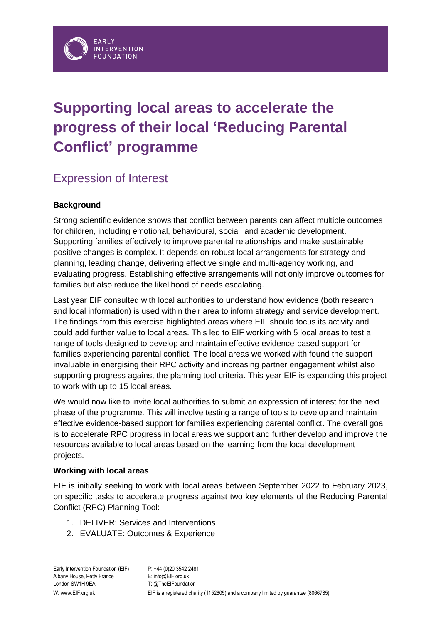# **Supporting local areas to accelerate the progress of their local 'Reducing Parental Conflict' programme**

# Expression of Interest

# **Background**

Strong scientific evidence shows that conflict between parents can affect multiple outcomes for children, including emotional, behavioural, social, and academic development. Supporting families effectively to improve parental relationships and make sustainable positive changes is complex. It depends on robust local arrangements for strategy and planning, leading change, delivering effective single and multi-agency working, and evaluating progress. Establishing effective arrangements will not only improve outcomes for families but also reduce the likelihood of needs escalating.

Last year EIF consulted with local authorities to understand how evidence (both research and local information) is used within their area to inform strategy and service development. The findings from this exercise highlighted areas where EIF should focus its activity and could add further value to local areas. This led to EIF working with 5 local areas to test a range of tools designed to develop and maintain effective evidence-based support for families experiencing parental conflict. The local areas we worked with found the support invaluable in energising their RPC activity and increasing partner engagement whilst also supporting progress against the planning tool criteria. This year EIF is expanding this project to work with up to 15 local areas.

We would now like to invite local authorities to submit an expression of interest for the next phase of the programme. This will involve testing a range of tools to develop and maintain effective evidence-based support for families experiencing parental conflict. The overall goal is to accelerate RPC progress in local areas we support and further develop and improve the resources available to local areas based on the learning from the local development projects.

# **Working with local areas**

EIF is initially seeking to work with local areas between September 2022 to February 2023, on specific tasks to accelerate progress against two key elements of the Reducing Parental Conflict (RPC) Planning Tool:

- 1. DELIVER: Services and Interventions
- 2. EVALUATE: Outcomes & Experience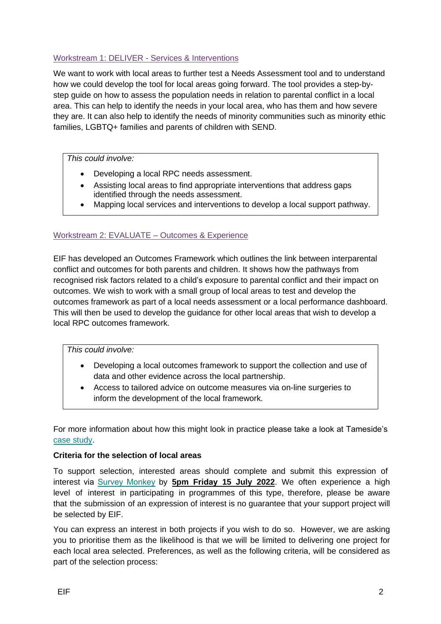# Workstream 1: DELIVER - Services & Interventions

We want to work with local areas to further test a Needs Assessment tool and to understand how we could develop the tool for local areas going forward. The tool provides a step-bystep guide on how to assess the population needs in relation to parental conflict in a local area. This can help to identify the needs in your local area, who has them and how severe they are. It can also help to identify the needs of minority communities such as minority ethic families, LGBTQ+ families and parents of children with SEND.

#### *This could involve:*

- Developing a local RPC needs assessment.
- Assisting local areas to find appropriate interventions that address gaps identified through the needs assessment.
- Mapping local services and interventions to develop a local support pathway.

# Workstream 2: EVALUATE – Outcomes & Experience

EIF has developed an Outcomes Framework which outlines the link between interparental conflict and outcomes for both parents and children. It shows how the pathways from recognised risk factors related to a child's exposure to parental conflict and their impact on outcomes. We wish to work with a small group of local areas to test and develop the outcomes framework as part of a local needs assessment or a local performance dashboard. This will then be used to develop the guidance for other local areas that wish to develop a local RPC outcomes framework.

*This could involve:*

- Developing a local outcomes framework to support the collection and use of data and other evidence across the local partnership.
- Access to tailored advice on outcome measures via on-line surgeries to inform the development of the local framework.

For more information about how this might look in practice please take a look at Tameside's [case study.](https://www.eif.org.uk/resource/tameside-developing-a-shared-outcomes-framework-for-the-local-reducing-parental-conflict-programme)

#### **Criteria for the selection of local areas**

To support selection, interested areas should complete and submit this expression of interest via [Survey Monkey](https://www.surveymonkey.co.uk/r/KSLYWWC) by **5pm Friday 15 July 2022**. We often experience a high level of interest in participating in programmes of this type, therefore, please be aware that the submission of an expression of interest is no guarantee that your support project will be selected by EIF.

You can express an interest in both projects if you wish to do so. However, we are asking you to prioritise them as the likelihood is that we will be limited to delivering one project for each local area selected. Preferences, as well as the following criteria, will be considered as part of the selection process: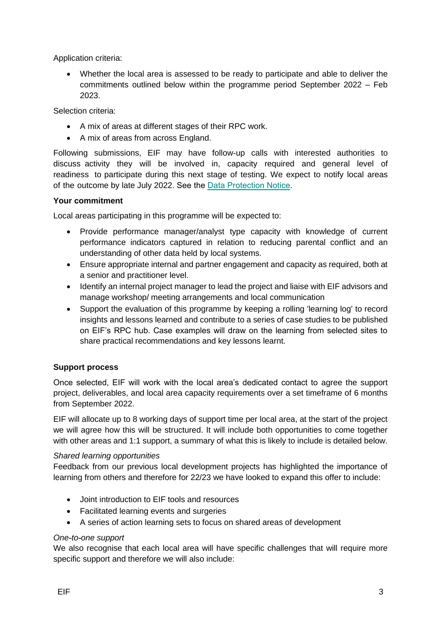Application criteria:

• Whether the local area is assessed to be ready to participate and able to deliver the commitments outlined below within the programme period September 2022 – Feb 2023.

Selection criteria:

- A mix of areas at different stages of their RPC work.
- A mix of areas from across England.

Following submissions, EIF may have follow-up calls with interested authorities to discuss activity they will be involved in, capacity required and general level of readiness to participate during this next stage of testing. We expect to notify local areas of the outcome by late July 2022. See the [Data Protection Notice.](https://www.eif.org.uk/files/about/data-protection-notice-rpc-eoi-2022.pdf)

#### **Your commitment**

Local areas participating in this programme will be expected to:

- Provide performance manager/analyst type capacity with knowledge of current performance indicators captured in relation to reducing parental conflict and an understanding of other data held by local systems.
- Ensure appropriate internal and partner engagement and capacity as required, both at a senior and practitioner level.
- Identify an internal project manager to lead the project and liaise with EIF advisors and manage workshop/ meeting arrangements and local communication
- Support the evaluation of this programme by keeping a rolling 'learning log' to record insights and lessons learned and contribute to a series of case studies to be published on EIF's RPC hub. Case examples will draw on the learning from selected sites to share practical recommendations and key lessons learnt.

# **Support process**

Once selected, EIF will work with the local area's dedicated contact to agree the support project, deliverables, and local area capacity requirements over a set timeframe of 6 months from September 2022.

EIF will allocate up to 8 working days of support time per local area, at the start of the project we will agree how this will be structured. It will include both opportunities to come together with other areas and 1:1 support, a summary of what this is likely to include is detailed below.

#### *Shared learning opportunities*

Feedback from our previous local development projects has highlighted the importance of learning from others and therefore for 22/23 we have looked to expand this offer to include:

- Joint introduction to EIF tools and resources
- Facilitated learning events and surgeries
- A series of action learning sets to focus on shared areas of development

#### *One-to-one support*

We also recognise that each local area will have specific challenges that will require more specific support and therefore we will also include: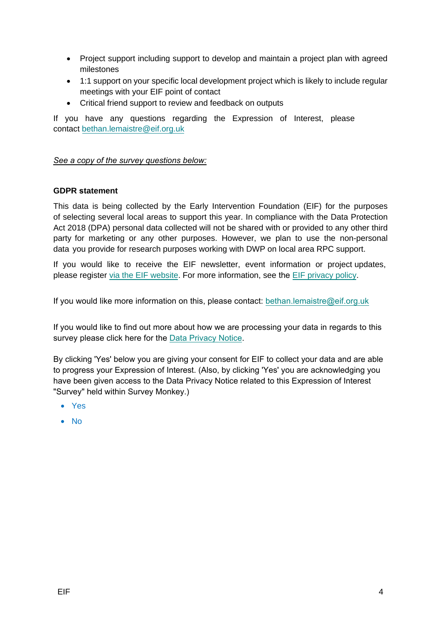- Project support including support to develop and maintain a project plan with agreed milestones
- 1:1 support on your specific local development project which is likely to include regular meetings with your EIF point of contact
- Critical friend support to review and feedback on outputs

If you have any questions regarding the Expression of Interest, please [contact bethan.lemaistre@ei](mailto:bethan.lemaistre@eif.org.uk)f.org.uk

# *See a copy of the survey questions below:*

# **GDPR statement**

This data is being collected by the Early Intervention Foundation (EIF) for the purposes of selecting several local areas to support this year. In compliance with the Data Protection Act 2018 (DPA) personal data collected [will not be shared with or prov](mailto:bethan.lemaistre@eif.org.uk)ided to any other third party for marketing or any other purposes. However, we plan to use the non-personal data you provide for research purposes working with DWP on local area RPC support.

If you [would like to receive the](https://www.eif.org.uk/about/newsletter/) EIF newsletter, event in[formation or proje](https://www.eif.org.uk/privacy-policy/)ct updates, please register [via the EIF website.](https://www.eif.org.uk/about/newsletter) For more information, see the [EIF privacy policy](https://www.eif.org.uk/privacy-policy).

If you would like more information on this, please contact: bethan.lemaistre@eif.org.uk

If you would like to find out more about how we are processing your data in regards to this survey please click here for the [Data Privacy Notice.](https://www.eif.org.uk/files/about/data-protection-notice-rpc-eoi-2022.pdf)

By clicking 'Yes' below you are giving your consent for EIF to collect your data and are able to progress your Expression of Interest. (Also, by clicking 'Yes' you are acknowledging you have been given access to the Data Privacy Notice related to this Expression of Interest "Survey" held within Survey Monkey.)

- Yes
- No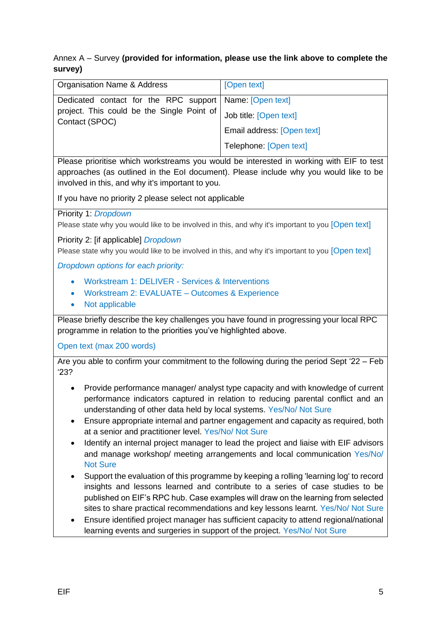# Annex A – Survey **(provided for information, please use the link above to complete the survey)**

| <b>Organisation Name &amp; Address</b>                                                                                    | [Open text]                |
|---------------------------------------------------------------------------------------------------------------------------|----------------------------|
| Dedicated contact for the RPC support   Name: [Open text]<br>project. This could be the Single Point of<br>Contact (SPOC) |                            |
|                                                                                                                           | Job title: [Open text]     |
|                                                                                                                           | Email address: [Open text] |
|                                                                                                                           | Telephone: [Open text]     |
| Dissas polacities which washeterness way waylet he interested in washing with FIF to test.                                |                            |

Please prioritise which workstreams you would be interested in working with EIF to test approaches (as outlined in the EoI document). Please include why you would like to be involved in this, and why it's important to you.

If you have no priority 2 please select not applicable

Priority 1: *Dropdown*

Please state why you would like to be involved in this, and why it's important to you [Open text]

Priority 2: [if applicable] *Dropdown*

Please state why you would like to be involved in this, and why it's important to you [Open text]

*Dropdown options for each priority:*

- Workstream 1: DELIVER Services & Interventions
- Workstream 2: EVALUATE Outcomes & Experience
- Not applicable

Please briefly describe the key challenges you have found in progressing your local RPC programme in relation to the priorities you've highlighted above.

Open text (max 200 words)

Are you able to confirm your commitment to the following during the period Sept '22 – Feb '23?

- Provide performance manager/ analyst type capacity and with knowledge of current performance indicators captured in relation to reducing parental conflict and an understanding of other data held by local systems. Yes/No/ Not Sure
- Ensure appropriate internal and partner engagement and capacity as required, both at a senior and practitioner level. Yes/No/ Not Sure
- Identify an internal project manager to lead the project and liaise with EIF advisors and manage workshop/ meeting arrangements and local communication Yes/No/ Not Sure
- Support the evaluation of this programme by keeping a rolling 'learning log' to record insights and lessons learned and contribute to a series of case studies to be published on EIF's RPC hub. Case examples will draw on the learning from selected sites to share practical recommendations and key lessons learnt. Yes/No/ Not Sure
- Ensure identified project manager has sufficient capacity to attend regional/national learning events and surgeries in support of the project. Yes/No/ Not Sure